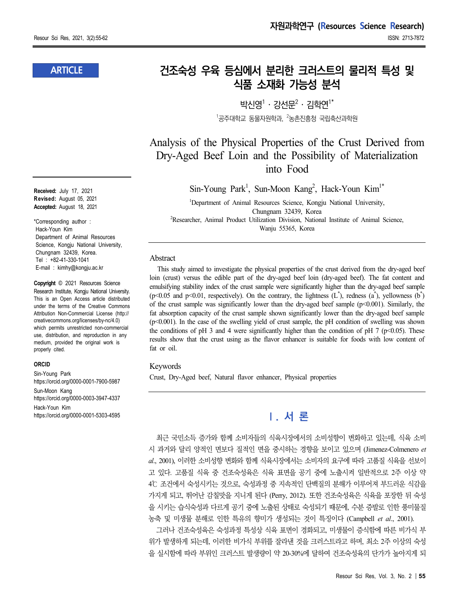### **ARTICLE**

**Received:** July 17, 2021 **Revised:** August 05, 2021 **Accepted:** August 18, 2021

\*Corresponding author : Hack-Youn Kim Department of Animal Resources Science, Kongju National University, Chungnam 32439, Korea. Tel : +82-41-330-1041 E-mail : kimhy@kongju.ac.kr

**Copyright** © 2021 Resources Science Research Institute, Kongju National University. This is an Open Access article distributed under the terms of the Creative Commons Attribution Non-Commercial License (http:// creativecommons.org/licenses/by-nc/4.0) which permits unrestricted non-commercial use, distribution, and reproduction in any medium, provided the original work is properly cited.

#### **ORCID**

Sin-Young Park https://orcid.org/0000-0001-7900-5987 Sun-Moon Kang https://orcid.org/0000-0003-3947-4337 Hack-Youn Kim https://orcid.org/0000-0001-5303-4595

# **건조숙성 우육 등심에서 분리한 크러스트의 물리적 특성 및 식품 소재화 가능성 분석**

박시영 $1 \cdot 2$ 선문 $2 \cdot 2$ 한연 $1^*$  $1$ 공주대학교 동물자원학과,  $2$ 농촌진흥청 국립축산과학원

Analysis of the Physical Properties of the Crust Derived from Dry-Aged Beef Loin and the Possibility of Materialization into Food

Sin-Young Park<sup>1</sup>, Sun-Moon Kang<sup>2</sup>, Hack-Youn Kim<sup>1\*</sup>

<sup>1</sup>Department of Animal Resources Science, Kongju National University, Chungnam 32439, Korea <sup>2</sup>Researcher, Animal Product Utilization Division, National Institute of Animal Science, Wanju 55365, Korea

#### Abstract

This study aimed to investigate the physical properties of the crust derived from the dry-aged beef loin (crust) versus the edible part of the dry-aged beef loin (dry-aged beef). The fat content and emulsifying stability index of the crust sample were significantly higher than the dry-aged beef sample  $(p<0.05$  and  $p<0.01$ , respectively). On the contrary, the lightness  $(L^{\dagger})$ , redness  $(a^{\dagger})$ , yellowness  $(b^{\dagger})$ of the crust sample was significantly lower than the dry-aged beef sample  $(p<0.001)$ . Similarly, the fat absorption capacity of the crust sample shown significantly lower than the dry-aged beef sample (p<0.001). In the case of the swelling yield of crust sample, the pH condition of swelling was shown the conditions of pH 3 and 4 were significantly higher than the condition of pH 7 (p<0.05). These results show that the crust using as the flavor enhancer is suitable for foods with low content of fat or oil.

#### Keywords

Crust, Dry-Aged beef, Natural flavor enhancer, Physical properties

# **Ⅰ. 서 론**

최근 국민소득 증가와 함께 소비자들의 식육시장에서의 소비성향이 변화하고 있는데, 식육 소비 시 과거와 달리 양적인 면보다 질적인 면을 중시하는 경향을 보이고 있으며 (Jimenez-Colmenero *et al*., 2001), 이러한 소비성향 변화와 함께 식육시장에서는 소비자의 요구에 따라 고품질 식육을 선보이 고 있다. 고품질 식육 중 건조숙성육은 식육 표면을 공기 중에 노출시켜 일반적으로 2주 이상 약 4℃ 조건에서 숙성시키는 것으로, 숙성과정 중 지속적인 단백질의 분해가 이루어져 부드러운 식감을 가지게 되고, 뛰어난 감칠맛을 지니게 된다 (Perry, 2012). 또한 건조숙성육은 식육을 포장한 뒤 숙성 을 시키는 습식숙성과 다르게 공기 중에 노출된 상태로 숙성되기 때문에, 수분 증발로 인한 풍미물질 농축 및 미생물 분해로 인한 특유의 향미가 생성되는 것이 특징이다 (Campbell *et al*., 2001).

그러나 건조숙성육은 숙성과정 특성상 식육 표면이 경화되고, 미생물이 증식함에 따른 비가식 부 위가 발생하게 되는데, 이러한 비가식 부위를 잘라낸 것을 크러스트라고 하며, 최소 2주 이상의 숙성 을 실시함에 따라 부위인 크러스트 발생량이 약 20-30%에 달하여 건조숙성육의 단가가 높아지게 되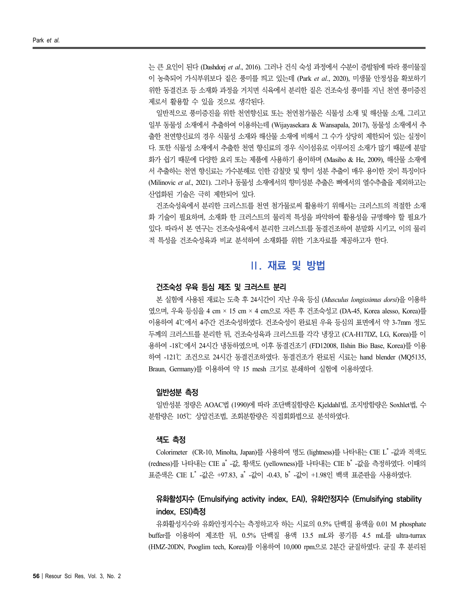는 큰 요인이 된다 (Dashdorj *et al*., 2016). 그러나 건식 숙성 과정에서 수분이 증발됨에 따라 풍미물질 이 농축되어 가식부위보다 짙은 풍미를 띄고 있는데 (Park *et al*., 2020), 미생물 안정성을 확보하기 위한 동결건조 등 소재화 과정을 거치면 식육에서 분리한 짙은 건조숙성 풍미를 지닌 천연 풍미증진 제로서 활용할 수 있을 것으로 생각된다.

일반적으로 풍미증진을 위한 천연향신료 또는 천연첨가물은 식물성 소재 및 해산물 소재, 그리고 일부 동물성 소재에서 추출하여 이용하는데 (Wijayasekara & Wansapala, 2017), 동물성 소재에서 추 출한 천연향신료의 경우 식물성 소재와 해산물 소재에 비해서 그 수가 상당히 제한되어 있는 실정이 다. 또한 식물성 소재에서 추출한 천연 향신료의 경우 식이섬유로 이루어진 소재가 많기 때문에 분말 화가 쉽기 때문에 다양한 요리 또는 제품에 사용하기 용이하며 (Masibo & He, 2009), 해산물 소재에 서 추출하는 천연 향신료는 가수분해로 인한 감칠맛 및 향미 성분 추출이 매우 용이한 것이 특징이다 (Milinovic *et al*., 2021). 그러나 동물성 소재에서의 향미성분 추출은 뼈에서의 열수추출을 제외하고는 산업화된 기술은 극히 제한되어 있다.

건조숙성육에서 분리한 크러스트를 천연 첨가물로써 활용하기 위해서는 크러스트의 적절한 소재 화 기술이 필요하며, 소재화 한 크러스트의 물리적 특성을 파악하여 활용성을 규명해야 할 필요가 있다. 따라서 본 연구는 건조숙성육에서 분리한 크러스트를 동결건조하여 분말화 시키고, 이의 물리 적 특성을 건조숙성육과 비교 분석하여 소재화를 위한 기초자료를 제공하고자 한다.

## **Ⅱ. 재료 및 방법**

#### **건조숙성 우육 등심 제조 및 크러스트 분리**

본 실험에 사용된 재료는 도축 후 24시간이 지난 우육 등심 (*Musculus longissimus dorsi*)을 이용하 였으며, 우육 등심을 4 cm × 15 cm × 4 cm으로 자른 후 건조숙성고 (DA-45, Korea alesso, Korea)를 이용하여 4℃에서 4주간 건조숙성하였다. 건조숙성이 완료된 우육 등심의 표면에서 약 3-7mm 정도 두께의 크러스트를 분리한 뒤, 건조숙성육과 크러스트를 각각 냉장고 (CA-H17DZ, LG, Korea)를 이 용하여 -18℃에서 24시간 냉동하였으며, 이후 동결건조기 (FD12008, Ilshin Bio Base, Korea)를 이용 하여 -121℃ 조건으로 24시간 동결건조하였다. 동결건조가 완료된 시료는 hand blender (MQ5135, Braun, Germany)를 이용하여 약 15 mesh 크기로 분쇄하여 실험에 이용하였다.

### **일반성분 측정**

일반성분 정량은 AOAC법 (1990)에 따라 조단백질함량은 Kjeldahl법, 조지방함량은 Soxhlet법, 수 분함량은 105℃ 상압건조법, 조회분함량은 직접회화법으로 분석하였다.

#### **색도 측정**

Colorimeter (CR-10, Minolta, Japan)를 사용하여 명도 (lightness)를 나타내는 CIE L \* -값과 적색도 (redness)를 나타내는 CIE a˚ -값, 황색도 (yellowness)를 나타내는 CIE b˚ -값을 측정하였다. 이때의 표준색은 CIE L\* -값은 +97.83, a\* -값이 -0.43, b\* -값이 +1.98인 백색 표준판을 사용하였다.

## **유화활성지수 (Emulsifying activity index, EAI), 유화안정지수 (Emulsifying stability index, ESI)측정**

유화활성지수와 유화안정지수는 측정하고자 하는 시료의 0.5% 단백질 용액을 0.01 M phosphate buffer를 이용하여 제조한 뒤, 0.5% 단백질 용액 13.5 mL와 콩기름 4.5 mL를 ultra-turrax (HMZ-20DN, Pooglim tech, Korea)를 이용하여 10,000 rpm으로 2분간 균질하였다. 균질 후 분리된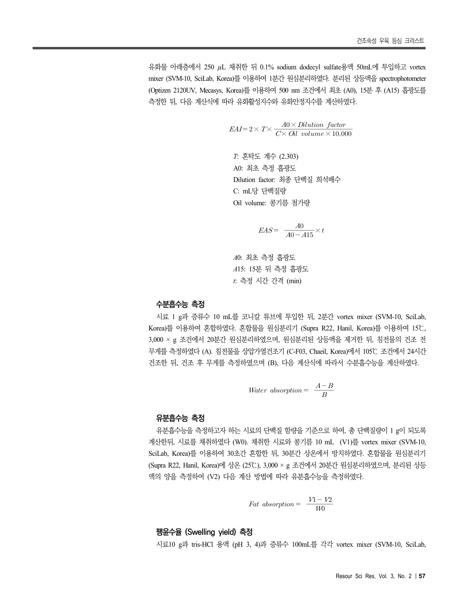유화물 아래층에서 250 μL 채취한 뒤 0.1% sodium dodecyl sulfate용액 50mL에 투입하고 vortex mixer (SVM-10, SciLab, Korea)를 이용하여 1분간 원심분리하였다. 분리된 상등액을 spectrophotometer (Optizen 2120UV, Mecasys, Korea)를 이용하여 500 nm 조건에서 최초 (A0), 15분 후 (A15) 흡광도를 측정한 뒤, 다음 계산식에 따라 유화활성지수와 유화안정지수를 계산하였다. <sup>건조숙성 우육</sup> 등심 크러스<br>한 뒤 0.1% sodium dodecyl sulfate용액 50mL에 투입하고 vort<br>이용하여 1분간 원심분리하였다. 분리된 상등액을 spectrophotome<br>)를 이용하여 500 nm 조건에서 최초 (A0), 15분 후 (A15) 흡광도<br>화활성지수와 유회안정지수를 계산하였다.<br><br>= 2 × *T* × <u>*A*0 × *Dilution factor*<br>혼탁도 계</u>

$$
EAI=2\times T\times \frac{A0\times Dilution\ factor}{C\times Oil\ volume\times 10,000}
$$

*T*: 혼탁도 계수 (2.303) A0: 최초 측정 흡광도 Dilution factor: 최종 단백질 희석배수 C: mL당 단백질량 Oil volume: 콩기름 첨가량 단백질량 $\begin{aligned} \text{ne:} \ & \ \frac{1}{8} \mathcal{I} = \frac{1}{8} \ \frac{1}{8} \mathcal{I} + \frac{1}{8} \ \frac{1}{8} \ & \text{EAS} = \frac{1}{8} \frac{1}{8} \times t \ \frac{1}{8} \ & \text{and} \ \frac{1}{8} \times t \ \frac{1}{8} \ & \text{and} \ \frac{1}{8} \times t \ \frac{1}{8} \ & \text{and} \ \frac{1}{8} \times t \ \frac{1}{8} \ & \text{and} \ \frac{1}{8} \times t \ \frac{1}{8} \ & \text{and} \ \frac{1$ 

$$
EAS = \frac{A0}{A0 - A15} \times t
$$

*A*0: 최초 측정 흡광도 *A*15: 15분 뒤 측정 흡광도 *t*: 측정 시간 간격 (min)

### **수분흡수능 측정**

시료 1 g과 증류수 10 mL를 코니칼 튜브에 투입한 뒤, 2분간 vortex mixer (SVM-10, SciLab, Korea)를 이용하여 혼합하였다. 혼합물을 원심분리기 (Supra R22, Hanil, Korea)를 이용하여 15℃,<br>3,000 × g 조건에서 20분간 원심분리하였으며, 원심분리된 상등액을 제거한 뒤, 침전물의 건조 전 무게를 측정하였다 (A). 침전물을 상압가열건조기 (C-F03, Chaeil, Korea)에서 105℃ 조건에서 24시간 건조한 뒤, 건조 후 무게를 측정하였으며 (B), 다음 계산식에 따라서 수분흡수능을 계산하였다.

$$
W = \frac{A - B}{B}
$$
\nWater absorption = 
$$
\frac{A - B}{B}
$$

#### **유분흡수능 측정**

유분흡수능을 측정하고자 하는 시료의 단백질 함량을 기준으로 하여, 총 단백질량이 1 g이 되도록 계산한뒤, 시료를 채취하였다 (W0). 채취한 시료와 콩기름 10 mL (V1)를 vortex mixer (SVM-10, SciLab, Korea)를 이용하여 30초간 혼합한 뒤, 30분간 상온에서 방치하였다. 혼합물을 원심분리기 (Supra R22, Hanil, Korea)에 상온 (25℃), 3,000 × g 조건에서 20분간 원심분리하였으며, 분리된 상등 액의 양을 측정하여 (V2) 다음 계산 방법에 따라 유분흡수능을 측정하였다.  $\frac{1}{2}$ , 5,000  $\frac{1}{8}$  도난 17시 20군신 논금문다이었<br><br>- 방법에 따라 유<del>분흡수능을</del> 측정하였다.<br>Fat absorption =  $\frac{V1-V2}{W0}$ 

$$
Fat\; absorption = \frac{V1 - V2}{W0}
$$

#### **팽윤수율 (Swelling yield) 측정**

시료10 g과 tris-HCl 용액 (pH 3, 4)과 증류수 100mL를 각각 vortex mixer (SVM-10, SciLab,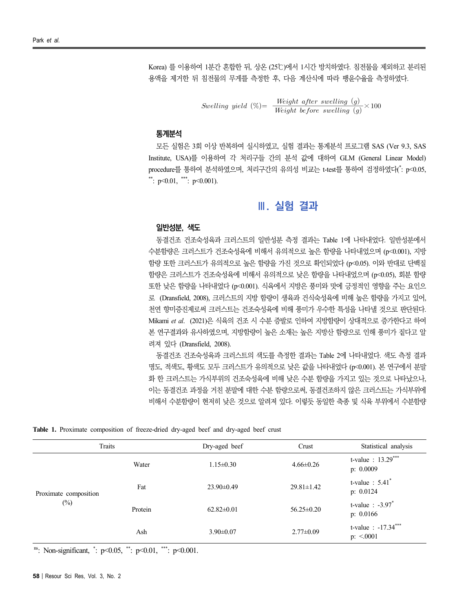Korea) 를 이용하여 1분간 혼합한 뒤, 상온 (25℃)에서 1시간 방치하였다. 침전물을 제외하고 분리된 용액을 제거한 뒤 침전물의 무게를 측정한 후, 다음 계산식에 따라 팽윤수율을 측정하였다. 1분간 혼합한 뒤, 상온 (25℃)에서 1시간 방치하였다. 침전물을 제외하고<br>침전물의 무게를 측정한 후, 다음 계산식에 따라 팽윤수율을 측정하였다<br>Swelling yield (%)= - Weight after swelling (g)<br>Avelling yield (%)= - Weight before swelling (g)<br>Alak Hkkakakakakakakakakakakakakakakakaka

Swelling yield  $(\%) = \frac{Weight\ after\swelling (g)}{Weight\ before\swelling (g)} \times 100$ 

### **통계분석**

모든 실험은 3회 이상 반복하여 실시하였고, 실험 결과는 통계분석 프로그램 SAS (Ver 9.3, SAS Institute, USA)를 이용하여 각 처리구들 간의 분석 값에 대하여 GLM (General Linear Model) procedure를 통하여 분석하였으며, 처리구간의 유의성 비교는 t-test를 통하여 검정하였다(\*: p<0.05, \*\*:  $p<0.01$ , \*\*\*:  $p<0.001$ ).

## **Ⅲ. 실험 결과**

#### **일반성분, 색도**

동결건조 건조숙성육과 크러스트의 일반성분 측정 결과는 Table 1에 나타내었다. 일반성분에서 수분함량은 크러스트가 건조숙성육에 비해서 유의적으로 높은 함량을 나타내었으며 (p<0.001), 지방 함량 또한 크러스트가 유의적으로 높은 함량을 가진 것으로 확인되었다 (p<0.05). 이와 반대로 단백질 함량은 크러스트가 건조숙성육에 비해서 유의적으로 낮은 함량을 나타내었으며 (p<0.05), 회분 함량 또한 낮은 함량을 나타내었다 (p<0.001). 식육에서 지방은 풍미와 맛에 긍정적인 영향을 주는 요인으 로 (Dransfield, 2008), 크러스트의 지방 함량이 생육과 건식숙성육에 비해 높은 함량을 가지고 있어, 천연 향미증진제로써 크러스트는 건조숙성육에 비해 풍미가 우수한 특성을 나타낼 것으로 판단된다.<br>Mikami *et al. (*2021)은 식육의 건조 시 수분 증발로 인하여 지방함량이 상대적으로 증가한다고 하여 본 연구결과와 유사하였으며, 지방함량이 높은 소재는 높은 지방산 함량으로 인해 풍미가 짙다고 알 려져 있다 (Dransfield, 2008).

동결건조 건조숙성육과 크러스트의 색도를 측정한 결과는 Table 2에 나타내었다. 색도 측정 결과 명도, 적색도, 황색도 모두 크러스트가 유의적으로 낮은 값을 나타내었다 (p<0.001). 본 연구에서 분말 화 한 크러스트는 가식부위의 건조숙성육에 비해 낮은 수분 함량을 가지고 있는 것으로 나타났으나, 이는 동결건조 과정을 거친 분말에 대한 수분 함량으로써, 동결건조하지 않은 크러스트는 가식부위에 비해서 수분함량이 현저히 낮은 것으로 알려져 있다. 이렇듯 동일한 축종 및 식육 부위에서 수분함량

**Table 1.** Proximate composition of freeze-dried dry-aged beef and dry-aged beef crust

| Traits                          |         | Dry-aged beef    | Crust            | Statistical analysis                        |  |  |
|---------------------------------|---------|------------------|------------------|---------------------------------------------|--|--|
|                                 | Water   | $1.15 \pm 0.30$  | $4.66 \pm 0.26$  | t-value : $13.29***$<br>p: 0.0009           |  |  |
| Proximate composition<br>$(\%)$ | Fat     | $23.90 \pm 0.49$ | $29.81 \pm 1.42$ | t-value : $5.41^*$<br>p: 0.0124             |  |  |
|                                 | Protein | $62.82 \pm 0.01$ | $56.25 \pm 0.20$ | t-value $: -3.97$ <sup>*</sup><br>p: 0.0166 |  |  |
|                                 | Ash     | $3.90 \pm 0.07$  | $2.77 \pm 0.09$  | t-value : $-17.34***$<br>$p: \le 0.001$     |  |  |

ns: Non-significant, \* : p<0.05, \*\*: p<0.01, \*\*\*: p<0.001.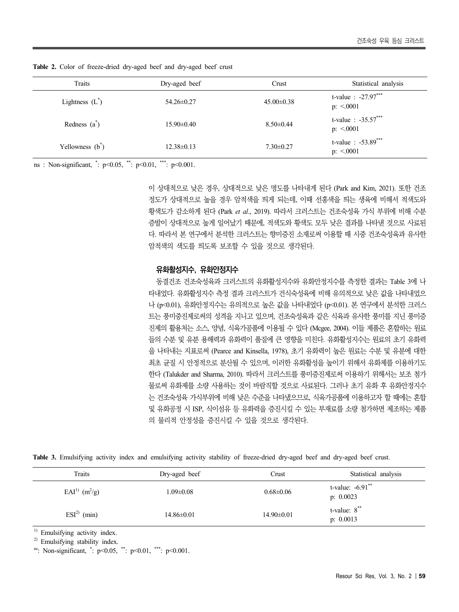| Traits             | Dry-aged beef    | Crust            | Statistical analysis                   |
|--------------------|------------------|------------------|----------------------------------------|
| Lightness $(L^*)$  | 54.26±0.27       | $45.00 \pm 0.38$ | t-value : $-27.97***$<br>$p: \le 0001$ |
| Redness $(a^*)$    | $15.90 \pm 0.40$ | $8.50 \pm 0.44$  | t-value : $-35.57***$<br>$p: \le 0001$ |
| Yellowness $(b^*)$ | $12.38\pm0.13$   | $7.30 \pm 0.27$  | t-value : $-53.89***$<br>$p: \le 0001$ |

**Table 2.** Color of freeze-dried dry-aged beef and dry-aged beef crust

ns : Non-significant, \* : p<0.05, \*\*: p<0.01, \*\*\*: p<0.001.

이 상대적으로 낮은 경우, 상대적으로 낮은 명도를 나타내게 된다 (Park and Kim, 2021). 또한 건조 정도가 상대적으로 높을 경우 암적색을 띄게 되는데, 이때 선홍색을 띄는 생육에 비해서 적색도와 황색도가 감소하게 된다 (Park *et al*., 2019). 따라서 크러스트는 건조숙성육 가식 부위에 비해 수분 증발이 상대적으로 높게 일어났기 때문에, 적색도와 황색도 모두 낮은 결과를 나타낸 것으로 사료된 다. 따라서 본 연구에서 분석한 크러스트는 향미증진 소재로써 이용할 때 시중 건조숙성육과 유사한 암적색의 색도를 띄도록 보조할 수 있을 것으로 생각된다.

#### **유화활성지수, 유화안정지수**

동결건조 건조숙성육과 크러스트의 유화활성지수와 유화안정지수를 측정한 결과는 Table 3에 나 타내었다. 유화활성지수 측정 결과 크러스트가 건식숙성육에 비해 유의적으로 낮은 값을 나타내었으 나 (p<0.01), 유화안정지수는 유의적으로 높은 값을 나타내었다 (p<0.01). 본 연구에서 분석한 크러스 트는 풍미중진제로써의 성격을 지니고 있으며, 건조숙성육과 같은 식육과 유사한 풍미를 지닌 풍미증 진제의 활용처는 소스, 양념, 식육가공품에 이용될 수 있다 (Mcgee, 2004). 이들 제품은 혼합하는 원료 들의 수분 및 유분 용해력과 유화력이 품질에 큰 영향을 미친다. 유화활성지수는 원료의 초기 유화력 을 나타내는 지표로써 (Pearce and Kinsella, 1978), 초기 유화력이 높은 원료는 수분 및 유분에 대한 최초 균질 시 안정적으로 분산될 수 있으며, 이러한 유화활성을 높이기 위해서 유화제를 이용하기도 한다 (Talukder and Sharma, 2010). 따라서 크러스트를 풍미증진제로써 이용하기 위해서는 보조 첨가 물로써 유화제를 소량 사용하는 것이 바람직할 것으로 사료된다. 그러나 초기 유화 후 유화안정지수 는 건조숙성육 가식부위에 비해 낮은 수준을 나타냈으므로, 식육가공품에 이용하고자 할 때에는 혼합 및 유화공정 시 ISP, 식이섬유 등 유화력을 증진시킬 수 있는 부재료를 소량 첨가하면 제조하는 제품 의 물리적 안정성을 증진시킬 수 있을 것으로 생각된다.

**Table 3.** Emulsifying activity index and emulsifying activity stability of freeze-dried dry-aged beef and dry-aged beef crust.

| Traits                | Dry-aged beef         | Crust            | Statistical analysis               |
|-----------------------|-----------------------|------------------|------------------------------------|
| $EAI^{(1)}$ $(m^2/g)$ | $1.09 \!\!\pm\! 0.08$ | $0.68 \pm 0.06$  | t-value: $-6.91$ **<br>p: $0.0023$ |
| $ESI2)$ (min)         | $14.86 \pm 0.01$      | $14.90 \pm 0.01$ | t-value: $8^{**}$<br>p: $0.0013$   |

 $<sup>1</sup>$  Emulsifying activity index.</sup>

2) Emulsifying stability index.

ns: Non-significant, \* : p<0.05, \*\*: p<0.01, \*\*\*: p<0.001.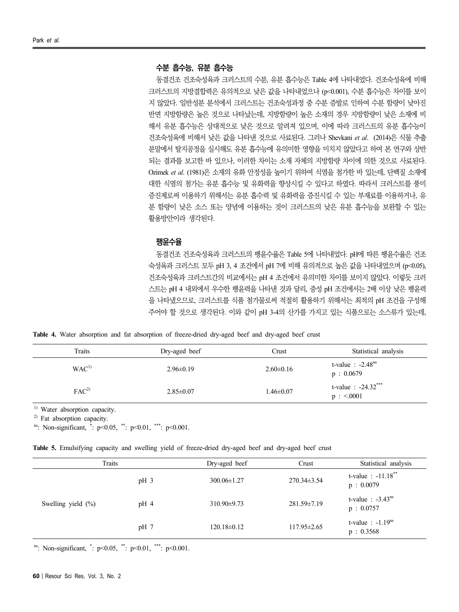#### **수분 흡수능, 유분 흡수능**

동결건조 건조숙성육과 크러스트의 수분, 유분 흡수능은 Table 4에 나타내었다. 건조숙성육에 비해 크러스트의 지방결합력은 유의적으로 낮은 값을 나타내었으나 (p<0.001), 수분 흡수능은 차이를 보이 지 않았다. 일반성분 분석에서 크러스트는 건조숙성과정 중 수분 증발로 인하여 수분 함량이 낮아진 반면 지방함량은 높은 것으로 나타났는데, 지방함량이 높은 소재의 경우 지방함량이 낮은 소재에 비 해서 유분 흡수능은 상대적으로 낮은 것으로 알려져 있으며, 이에 따라 크러스트의 유분 흡수능이 건조숙성육에 비해서 낮은 값을 나타낸 것으로 사료된다. 그러나 Shevkani *et al*. (2014)은 식물 추출 분말에서 탈지공정을 실시해도 유분 흡수능에 유의미한 영향을 미치지 않았다고 하여 본 연구와 상반 되는 결과를 보고한 바 있으나, 이러한 차이는 소재 자체의 지방함량 차이에 의한 것으로 사료된다.<br>Ozimek *et al.* (1981)은 소재의 유화 안정성을 높이기 위하여 식염을 첨가한 바 있는데, 단백질 소재에 대한 식염의 첨가는 유분 흡수능 및 유화력을 향상시킬 수 있다고 하였다. 따라서 크러스트를 풍미 증진제로써 이용하기 위해서는 유분 흡수력 및 유화력을 증진시킬 수 있는 부재료를 이용하거나, 유 분 함량이 낮은 소스 또는 양념에 이용하는 것이 크러스트의 낮은 유분 흡수능을 보완할 수 있는 활용방안이라 생각된다.

### **팽윤수율**

동결건조 건조숙성육과 크러스트의 팽윤수율은 Table 5에 나타내었다. pH에 따른 팽윤수율은 건조 숙성육과 크러스트 모두 pH 3, 4 조건에서 pH 7에 비해 유의적으로 높은 값을 나타내었으며 (p<0.05), 건조숙성육과 크러스트간의 비교에서는 pH 4 조건에서 유의미한 차이를 보이지 않았다. 이렇듯 크러 스트는 pH 4 내외에서 우수한 팽윤력을 나타낸 것과 달리, 중성 pH 조건에서는 2배 이상 낮은 팽윤력 을 나타냈으므로, 크러스트를 식품 첨가물로써 적절히 활용하기 위해서는 최적의 pH 조건을 구성해 주어야 할 것으로 생각된다. 이와 같이 pH 3-4의 산가를 가지고 있는 식품으로는 소스류가 있는데,

**Table 4.** Water absorption and fat absorption of freeze-dried dry-aged beef and dry-aged beef crust

| Traits           | Dry-aged beef   | Crust           | Statistical analysis                |
|------------------|-----------------|-----------------|-------------------------------------|
| WAC <sup>1</sup> | $2.96 \pm 0.19$ | $2.60 \pm 0.16$ | t-value : $-2.48ns$<br>p: 0.0679    |
| FAC <sup>2</sup> | $2.85 \pm 0.07$ | $1.46 \pm 0.07$ | t-value : $-24.32***$<br>p : < 0001 |

<sup>1)</sup> Water absorption capacity.

<sup>2)</sup> Fat absorption capacity.

ns: Non-significant, \* : p<0.05, \*\*: p<0.01, \*\*\*: p<0.001.

|  |  | Table 5. Emulsifying capacity and swelling yield of freeze-dried dry-aged beef and dry-aged beef crust |  |  |  |  |  |  |  |  |  |  |  |  |
|--|--|--------------------------------------------------------------------------------------------------------|--|--|--|--|--|--|--|--|--|--|--|--|
|--|--|--------------------------------------------------------------------------------------------------------|--|--|--|--|--|--|--|--|--|--|--|--|

| Traits                |        | Dry-aged beef     | Crust             | Statistical analysis                          |
|-----------------------|--------|-------------------|-------------------|-----------------------------------------------|
|                       | $pH_3$ | $300.06 \pm 1.27$ | $270.34 \pm 3.54$ | t-value : $-11.18$ <sup>**</sup><br>p: 0.0079 |
| Swelling yield $(\%)$ | $pH_4$ | $310.90 \pm 9.73$ | 281.59±7.19       | t-value $: -3.43^{\text{ns}}$<br>p: 0.0757    |
|                       | $pH$ 7 | $120.18 \pm 0.12$ | $117.95 \pm 2.65$ | t-value : $-1.19ns$<br>p: 0.3568              |

ns: Non-significant, \* : p<0.05, \*\*: p<0.01, \*\*\*: p<0.001.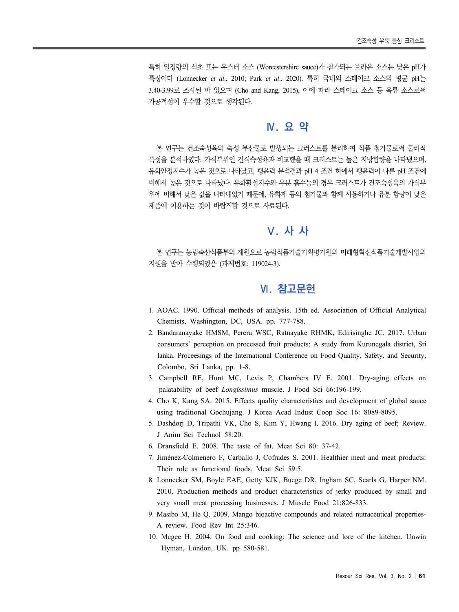특히 일정량의 식초 또는 우스터 소스 (Worcestershire sauce)가 첨가되는 브라운 소스는 낮은 pH가 특징이다 (Lonnecker *et al*., 2010; Park *et al*., 2020). 특히 국내외 스테이크 소스의 평균 pH는 3.40-3.99로 조사된 바 있으며 (Cho and Kang, 2015), 이에 따라 스테이크 소스 등 육류 소스로써 가공적성이 우수할 것으로 생각된다.

# **Ⅳ. 요 약**

본 연구는 건조숙성육의 숙성 부산물로 발생되는 크러스트를 분리하여 식품 첨가물로써 물리적 특성을 분석하였다. 가식부위인 건식숙성육과 비교했을 때 크러스트는 높은 지방함량을 나타냈으며, 유화안정지수가 높은 것으로 나타났고, 팽윤력 분석결과 pH 4 조건 하에서 팽윤력이 다른 pH 조건에 비해서 높은 것으로 나타났다. 유화활성지수와 유분 흡수능의 경우 크러스트가 건조숙성육의 가식부 위에 비해서 낮은 값을 나타내었기 때문에, 유화제 등의 첨가물과 함께 사용하거나 유분 함량이 낮은 제품에 이용하는 것이 바람직할 것으로 사료된다.

# **Ⅴ. 사 사**

본 연구는 농림축산식품부의 재원으로 농림식품기술기획평가원의 미래형혁신식품기술개발사업의 지원을 받아 수행되었음 (과제번호: 119024-3).

## **Ⅵ. 참고문헌**

- 1. AOAC. 1990. Official methods of analysis. 15th ed. Association of Official Analytical Chemists, Washington, DC, USA. pp. 777-788.
- 2. Bandaranayake HMSM, Perera WSC, Ratnayake RHMK, Edirisinghe JC. 2017. Urban consumers' perception on processed fruit products: A study from Kurunegala district, Sri lanka. Proceesings of the International Conference on Food Quality, Safety, and Security, Colombo, Sri Lanka, pp. 1-8.
- 3. Campbell RE, Hunt MC, Levis P, Chambers IV E. 2001. Dry-aging effects on palatability of beef *Longissimus* muscle. J Food Sci 66:196-199.
- 4. Cho K, Kang SA. 2015. Effects quality characteristics and development of global sauce using traditional Gochujang. J Korea Acad Indust Coop Soc 16: 8089-8095.
- 5. Dashdorj D, Tripathi VK, Cho S, Kim Y, Hwang I. 2016. Dry aging of beef; Review. J Anim Sci Technol 58:20.
- 6. Dransfield E. 2008. The taste of fat. Meat Sci 80: 37-42.
- 7. Jiménez-Colmenero F, Carballo J, Cofrades S. 2001. Healthier meat and meat products: Their role as functional foods. Meat Sci 59:5.
- 8. Lonnecker SM, Boyle EAE, Getty KJK, Buege DR, Ingham SC, Searls G, Harper NM. 2010. Production methods and product characteristics of jerky produced by small and very small meat processing businesses. J Muscle Food 21:826-833.
- 9. Masibo M, He Q. 2009. Mango bioactive compounds and related nutraceutical properties-A review. Food Rev Int 25:346.
- 10. Mcgee H. 2004. On food and cooking: The science and lore of the kitchen. Unwin Hyman, London, UK. pp 580-581.